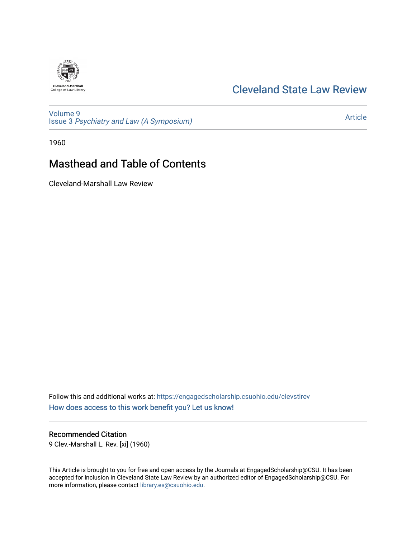## [Cleveland State Law Review](https://engagedscholarship.csuohio.edu/clevstlrev)

[Volume 9](https://engagedscholarship.csuohio.edu/clevstlrev/vol9) Issue 3 [Psychiatry and Law \(A Symposium\)](https://engagedscholarship.csuohio.edu/clevstlrev/vol9/iss3) 

[Article](https://engagedscholarship.csuohio.edu/clevstlrev/vol9/iss3/1) 

1960

# Masthead and Table of Contents

Cleveland-Marshall Law Review

Follow this and additional works at: [https://engagedscholarship.csuohio.edu/clevstlrev](https://engagedscholarship.csuohio.edu/clevstlrev?utm_source=engagedscholarship.csuohio.edu%2Fclevstlrev%2Fvol9%2Fiss3%2F1&utm_medium=PDF&utm_campaign=PDFCoverPages) [How does access to this work benefit you? Let us know!](http://library.csuohio.edu/engaged/)

Recommended Citation

9 Clev.-Marshall L. Rev. [xi] (1960)

This Article is brought to you for free and open access by the Journals at EngagedScholarship@CSU. It has been accepted for inclusion in Cleveland State Law Review by an authorized editor of EngagedScholarship@CSU. For more information, please contact [library.es@csuohio.edu](mailto:library.es@csuohio.edu).

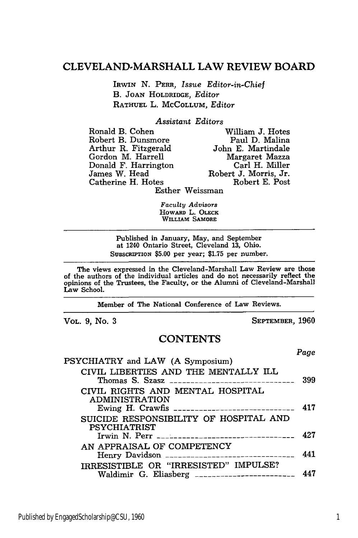### **CLEVELAND-MARSHALL** LAW REVIEW BOARD

IRWIN N. PERR, *Issue Editor-in-Chief* B. JOAN HOLDRIDGE, *Editor* RATHUEL L. MCCOLLUM, *Editor*

#### *Assistant Editors*

| Ronald B. Cohen      | William J. Hotes      |
|----------------------|-----------------------|
| Robert B. Dunsmore   | Paul D. Malina        |
| Arthur R. Fitzgerald | John E. Martindale    |
| Gordon M. Harrell    | Margaret Mazza        |
| Donald F. Harrington | Carl H. Miller        |
| James W. Head        | Robert J. Morris, Jr. |
| Catherine H. Hotes   | Robert E. Post        |
|                      | Esther Weissman       |

*Faculty Advisors* **HOWARD** L. **OLEcK** WILLIAM SAMORE

Published in January, May, and September at 1240 Ontario Street, Cleveland 13, Ohio. SUBSCRIPTION \$5.00 per year; \$1.75 per number.

The views expressed in the Cleveland-Marshall Law Review are those of the authors of the individual articles and do not necessarily reflect the opinions of the Trustees, the Faculty, or the Alumni of Cleveland-Marshall Law School.

Member of The National Conference of Law Reviews.

VOL. **9,** No. **3** SEPTEMBER, **1960**

### **CONTENTS**

*Page*

| PSYCHIATRY and LAW (A Symposium)                                                          |     |
|-------------------------------------------------------------------------------------------|-----|
| CIVIL LIBERTIES AND THE MENTALLY ILL                                                      | 399 |
| CIVIL RIGHTS AND MENTAL HOSPITAL<br><b>ADMINISTRATION</b>                                 | 417 |
| SUICIDE RESPONSIBILITY OF HOSPITAL AND<br><b>PSYCHIATRIST</b>                             | 427 |
| AN APPRAISAL OF COMPETENCY                                                                | 441 |
| IRRESISTIBLE OR "IRRESISTED" IMPULSE?<br>Waldimir G. Eliasberg __________________________ | 447 |
|                                                                                           |     |